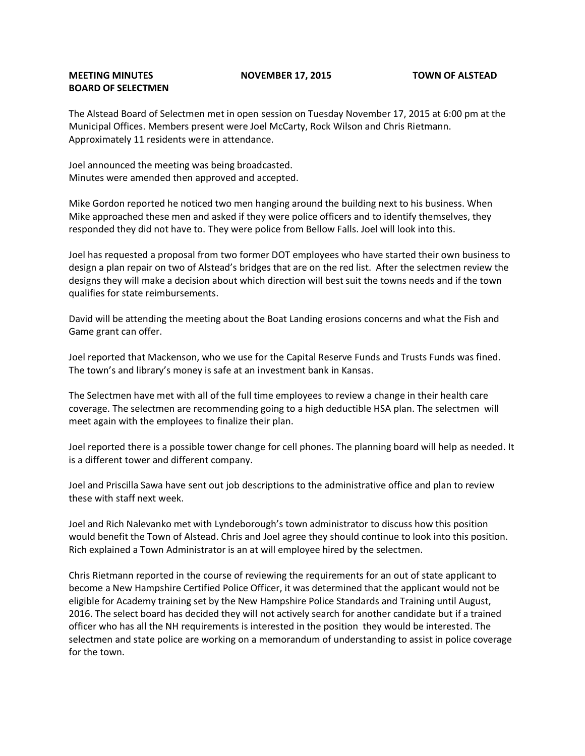## **MEETING MINUTES NOVEMBER 17, 2015 TOWN OF ALSTEAD BOARD OF SELECTMEN**

The Alstead Board of Selectmen met in open session on Tuesday November 17, 2015 at 6:00 pm at the Municipal Offices. Members present were Joel McCarty, Rock Wilson and Chris Rietmann. Approximately 11 residents were in attendance.

Joel announced the meeting was being broadcasted. Minutes were amended then approved and accepted.

Mike Gordon reported he noticed two men hanging around the building next to his business. When Mike approached these men and asked if they were police officers and to identify themselves, they responded they did not have to. They were police from Bellow Falls. Joel will look into this.

Joel has requested a proposal from two former DOT employees who have started their own business to design a plan repair on two of Alstead's bridges that are on the red list. After the selectmen review the designs they will make a decision about which direction will best suit the towns needs and if the town qualifies for state reimbursements.

David will be attending the meeting about the Boat Landing erosions concerns and what the Fish and Game grant can offer.

Joel reported that Mackenson, who we use for the Capital Reserve Funds and Trusts Funds was fined. The town's and library's money is safe at an investment bank in Kansas.

The Selectmen have met with all of the full time employees to review a change in their health care coverage. The selectmen are recommending going to a high deductible HSA plan. The selectmen will meet again with the employees to finalize their plan.

Joel reported there is a possible tower change for cell phones. The planning board will help as needed. It is a different tower and different company.

Joel and Priscilla Sawa have sent out job descriptions to the administrative office and plan to review these with staff next week.

Joel and Rich Nalevanko met with Lyndeborough's town administrator to discuss how this position would benefit the Town of Alstead. Chris and Joel agree they should continue to look into this position. Rich explained a Town Administrator is an at will employee hired by the selectmen.

Chris Rietmann reported in the course of reviewing the requirements for an out of state applicant to become a New Hampshire Certified Police Officer, it was determined that the applicant would not be eligible for Academy training set by the New Hampshire Police Standards and Training until August, 2016. The select board has decided they will not actively search for another candidate but if a trained officer who has all the NH requirements is interested in the position they would be interested. The selectmen and state police are working on a memorandum of understanding to assist in police coverage for the town.